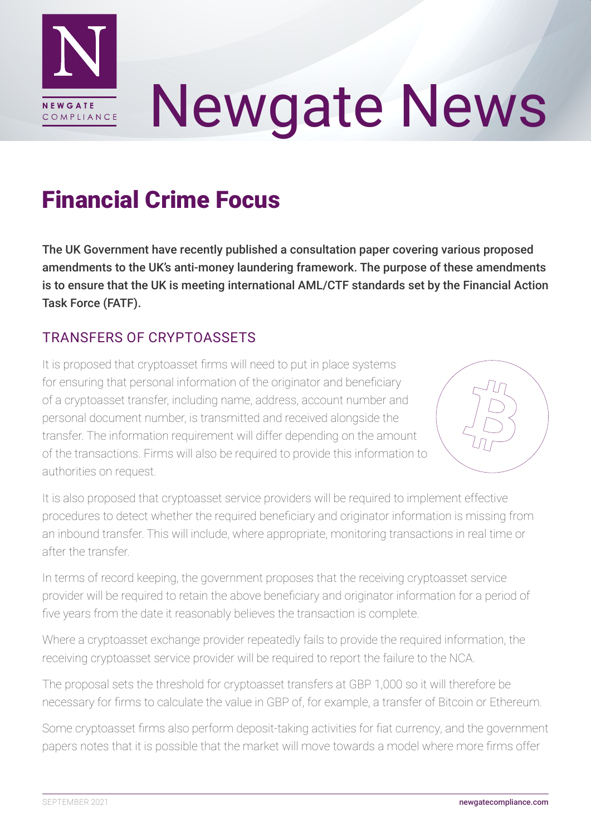

# Newgate News

## Financial Crime Focus

The UK Government have recently published a consultation paper covering various proposed amendments to the UK's anti-money laundering framework. The purpose of these amendments is to ensure that the UK is meeting international AML/CTF standards set by the Financial Action Task Force (FATF).

#### TRANSFERS OF CRYPTOASSETS

It is proposed that cryptoasset firms will need to put in place systems for ensuring that personal information of the originator and beneficiary of a cryptoasset transfer, including name, address, account number and personal document number, is transmitted and received alongside the transfer. The information requirement will differ depending on the amount of the transactions. Firms will also be required to provide this information to authorities on request.



It is also proposed that cryptoasset service providers will be required to implement effective procedures to detect whether the required beneficiary and originator information is missing from an inbound transfer. This will include, where appropriate, monitoring transactions in real time or after the transfer.

In terms of record keeping, the government proposes that the receiving cryptoasset service provider will be required to retain the above beneficiary and originator information for a period of five years from the date it reasonably believes the transaction is complete.

Where a cryptoasset exchange provider repeatedly fails to provide the required information, the receiving cryptoasset service provider will be required to report the failure to the NCA.

The proposal sets the threshold for cryptoasset transfers at GBP 1,000 so it will therefore be necessary for firms to calculate the value in GBP of, for example, a transfer of Bitcoin or Ethereum.

Some cryptoasset firms also perform deposit-taking activities for fiat currency, and the government papers notes that it is possible that the market will move towards a model where more firms offer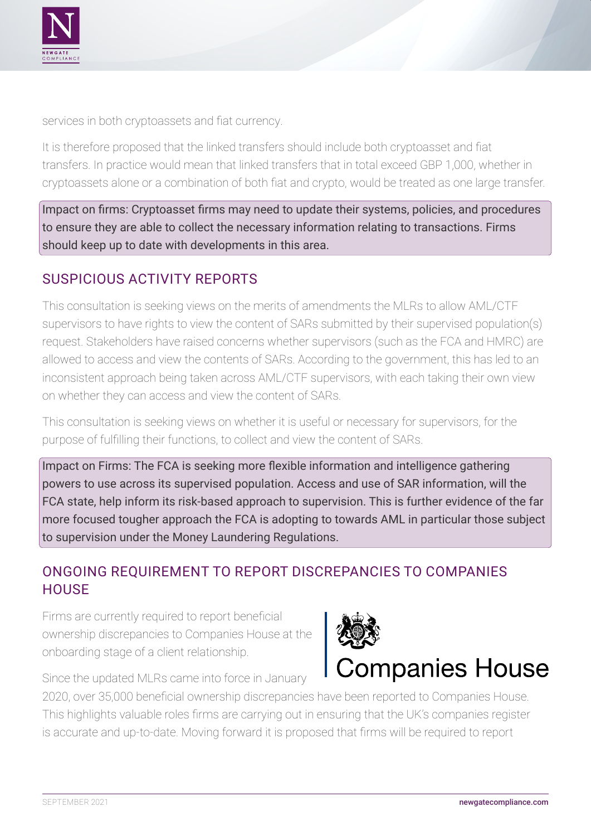

services in both cryptoassets and fiat currency.

It is therefore proposed that the linked transfers should include both cryptoasset and fiat transfers. In practice would mean that linked transfers that in total exceed GBP 1,000, whether in cryptoassets alone or a combination of both fiat and crypto, would be treated as one large transfer.

Impact on firms: Cryptoasset firms may need to update their systems, policies, and procedures to ensure they are able to collect the necessary information relating to transactions. Firms should keep up to date with developments in this area.

#### SUSPICIOUS ACTIVITY REPORTS

This consultation is seeking views on the merits of amendments the MLRs to allow AML/CTF supervisors to have rights to view the content of SARs submitted by their supervised population(s) request. Stakeholders have raised concerns whether supervisors (such as the FCA and HMRC) are allowed to access and view the contents of SARs. According to the government, this has led to an inconsistent approach being taken across AML/CTF supervisors, with each taking their own view on whether they can access and view the content of SARs.

This consultation is seeking views on whether it is useful or necessary for supervisors, for the purpose of fulfilling their functions, to collect and view the content of SARs.

Impact on Firms: The FCA is seeking more flexible information and intelligence gathering powers to use across its supervised population. Access and use of SAR information, will the FCA state, help inform its risk-based approach to supervision. This is further evidence of the far more focused tougher approach the FCA is adopting to towards AML in particular those subject to supervision under the Money Laundering Regulations.

#### ONGOING REQUIREMENT TO REPORT DISCREPANCIES TO COMPANIES **HOUSE**

Firms are currently required to report beneficial ownership discrepancies to Companies House at the onboarding stage of a client relationship.



Since the updated MLRs came into force in January

2020, over 35,000 beneficial ownership discrepancies have been reported to Companies House. This highlights valuable roles firms are carrying out in ensuring that the UK's companies register is accurate and up-to-date. Moving forward it is proposed that firms will be required to report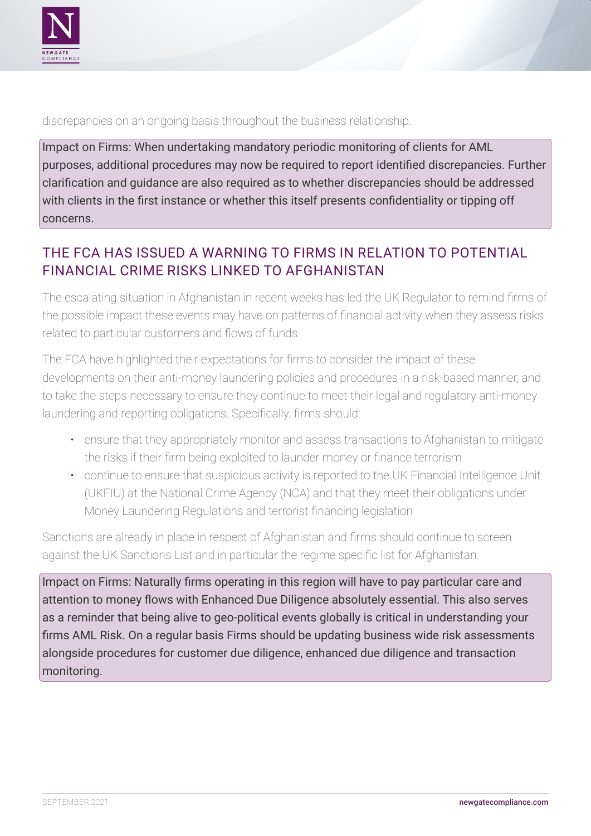

discrepancies on an ongoing basis throughout the business relationship.

Impact on Firms: When undertaking mandatory periodic monitoring of clients for AML purposes, additional procedures may now be required to report identified discrepancies. Further clarification and guidance are also required as to whether discrepancies should be addressed with clients in the first instance or whether this itself presents confidentiality or tipping off concerns.

### THE FCA HAS ISSUED A WARNING TO FIRMS IN RELATION TO POTENTIAL FINANCIAL CRIME RISKS LINKED TO AFGHANISTAN

The escalating situation in Afghanistan in recent weeks has led the UK Regulator to remind firms of the possible impact these events may have on patterns of financial activity when they assess risks related to particular customers and flows of funds.

The FCA have highlighted their expectations for firms to consider the impact of these developments on their anti-money laundering policies and procedures in a risk-based manner, and to take the steps necessary to ensure they continue to meet their legal and regulatory anti-money laundering and reporting obligations. Specifically, firms should:

- ensure that they appropriately monitor and assess transactions to Afghanistan to mitigate the risks if their firm being exploited to launder money or finance terrorism
- continue to ensure that suspicious activity is reported to the UK Financial Intelligence Unit (UKFIU) at the National Crime Agency (NCA) and that they meet their obligations under Money Laundering Regulations and terrorist financing legislation

Sanctions are already in place in respect of Afghanistan and firms should continue to screen against the UK Sanctions List and in particular the regime specific list for Afghanistan.

Impact on Firms: Naturally firms operating in this region will have to pay particular care and attention to money flows with Enhanced Due Diligence absolutely essential. This also serves as a reminder that being alive to geo-political events globally is critical in understanding your firms AML Risk. On a regular basis Firms should be updating business wide risk assessments alongside procedures for customer due diligence, enhanced due diligence and transaction monitoring.